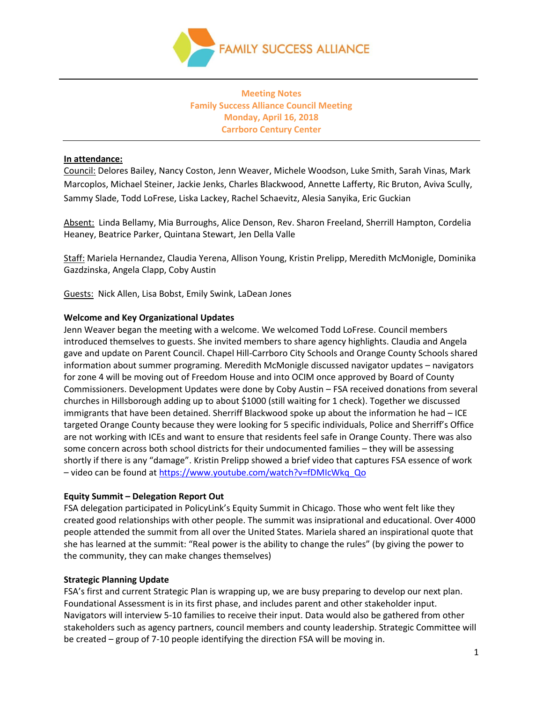

# **Meeting Notes Family Success Alliance Council Meeting Monday, April 16, 2018 Carrboro Century Center**

# **In attendance:**

Council: Delores Bailey, Nancy Coston, Jenn Weaver, Michele Woodson, Luke Smith, Sarah Vinas, Mark Marcoplos, Michael Steiner, Jackie Jenks, Charles Blackwood, Annette Lafferty, Ric Bruton, Aviva Scully, Sammy Slade, Todd LoFrese, Liska Lackey, Rachel Schaevitz, Alesia Sanyika, Eric Guckian

Absent: Linda Bellamy, Mia Burroughs, Alice Denson, Rev. Sharon Freeland, Sherrill Hampton, Cordelia Heaney, Beatrice Parker, Quintana Stewart, Jen Della Valle

Staff: Mariela Hernandez, Claudia Yerena, Allison Young, Kristin Prelipp, Meredith McMonigle, Dominika Gazdzinska, Angela Clapp, Coby Austin

Guests: Nick Allen, Lisa Bobst, Emily Swink, LaDean Jones

## **Welcome and Key Organizational Updates**

Jenn Weaver began the meeting with a welcome. We welcomed Todd LoFrese. Council members introduced themselves to guests. She invited members to share agency highlights. Claudia and Angela gave and update on Parent Council. Chapel Hill-Carrboro City Schools and Orange County Schools shared information about summer programing. Meredith McMonigle discussed navigator updates – navigators for zone 4 will be moving out of Freedom House and into OCIM once approved by Board of County Commissioners. Development Updates were done by Coby Austin – FSA received donations from several churches in Hillsborough adding up to about \$1000 (still waiting for 1 check). Together we discussed immigrants that have been detained. Sherriff Blackwood spoke up about the information he had – ICE targeted Orange County because they were looking for 5 specific individuals, Police and Sherriff's Office are not working with ICEs and want to ensure that residents feel safe in Orange County. There was also some concern across both school districts for their undocumented families – they will be assessing shortly if there is any "damage". Kristin Prelipp showed a brief video that captures FSA essence of work – video can be found at [https://www.youtube.com/watch?v=fDMIcWkq\\_Qo](https://www.youtube.com/watch?v=fDMIcWkq_Qo)

#### **Equity Summit – Delegation Report Out**

FSA delegation participated in PolicyLink's Equity Summit in Chicago. Those who went felt like they created good relationships with other people. The summit was insiprational and educational. Over 4000 people attended the summit from all over the United States. Mariela shared an inspirational quote that she has learned at the summit: "Real power is the ability to change the rules" (by giving the power to the community, they can make changes themselves)

#### **Strategic Planning Update**

FSA's first and current Strategic Plan is wrapping up, we are busy preparing to develop our next plan. Foundational Assessment is in its first phase, and includes parent and other stakeholder input. Navigators will interview 5-10 families to receive their input. Data would also be gathered from other stakeholders such as agency partners, council members and county leadership. Strategic Committee will be created – group of 7-10 people identifying the direction FSA will be moving in.